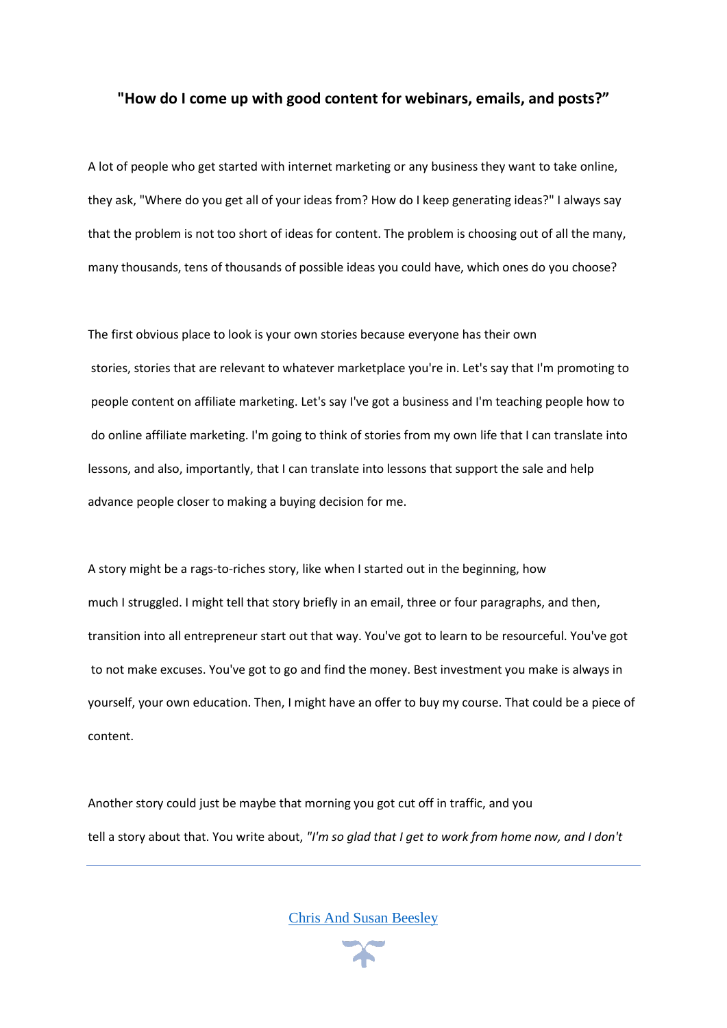## **"How do I come up with good content for webinars, emails, and posts?"**

A lot of people who get started with internet marketing or any business they want to take online, they ask, "Where do you get all of your ideas from? How do I keep generating ideas?" I always say that the problem is not too short of ideas for content. The problem is choosing out of all the many, many thousands, tens of thousands of possible ideas you could have, which ones do you choose?

The first obvious place to look is your own stories because everyone has their own stories, stories that are relevant to whatever marketplace you're in. Let's say that I'm promoting to people content on affiliate marketing. Let's say I've got a business and I'm teaching people how to do online affiliate marketing. I'm going to think of stories from my own life that I can translate into lessons, and also, importantly, that I can translate into lessons that support the sale and help advance people closer to making a buying decision for me.

A story might be a rags-to-riches story, like when I started out in the beginning, how much I struggled. I might tell that story briefly in an email, three or four paragraphs, and then, transition into all entrepreneur start out that way. You've got to learn to be resourceful. You've got to not make excuses. You've got to go and find the money. Best investment you make is always in yourself, your own education. Then, I might have an offer to buy my course. That could be a piece of content.

Another story could just be maybe that morning you got cut off in traffic, and you tell a story about that. You write about, *"I'm so glad that I get to work from home now, and I don't*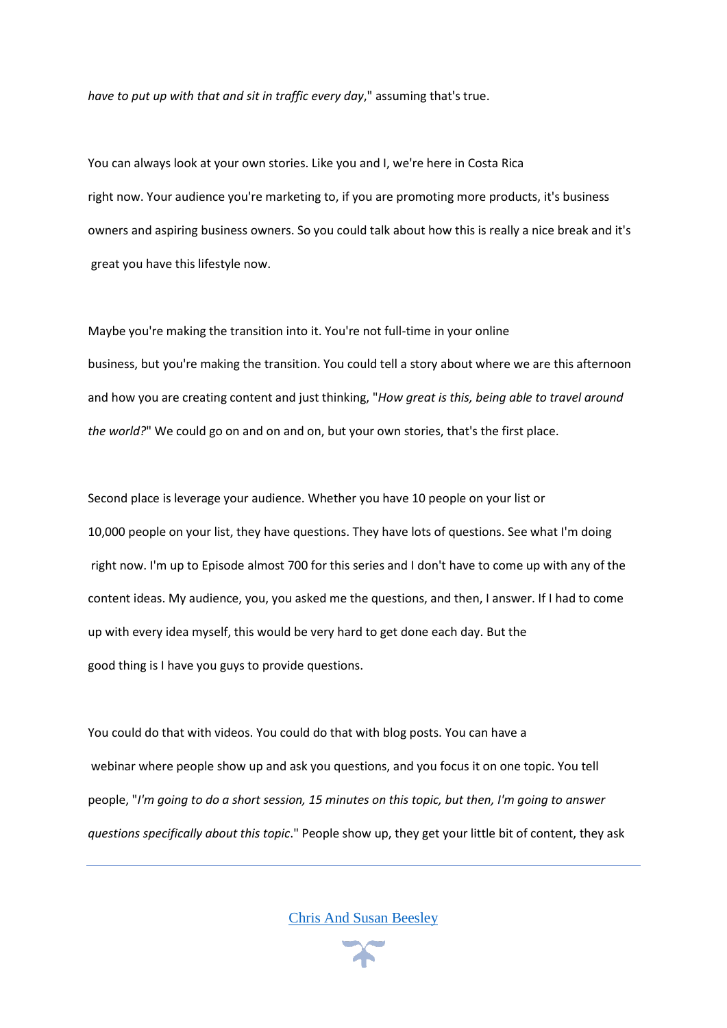*have to put up with that and sit in traffic every day*," assuming that's true.

You can always look at your own stories. Like you and I, we're here in Costa Rica right now. Your audience you're marketing to, if you are promoting more products, it's business owners and aspiring business owners. So you could talk about how this is really a nice break and it's great you have this lifestyle now.

Maybe you're making the transition into it. You're not full-time in your online business, but you're making the transition. You could tell a story about where we are this afternoon and how you are creating content and just thinking, "*How great is this, being able to travel around the world?*" We could go on and on and on, but your own stories, that's the first place.

Second place is leverage your audience. Whether you have 10 people on your list or 10,000 people on your list, they have questions. They have lots of questions. See what I'm doing right now. I'm up to Episode almost 700 for this series and I don't have to come up with any of the content ideas. My audience, you, you asked me the questions, and then, I answer. If I had to come up with every idea myself, this would be very hard to get done each day. But the good thing is I have you guys to provide questions.

You could do that with videos. You could do that with blog posts. You can have a webinar where people show up and ask you questions, and you focus it on one topic. You tell people, "*I'm going to do a short session, 15 minutes on this topic, but then, I'm going to answer questions specifically about this topic*." People show up, they get your little bit of content, they ask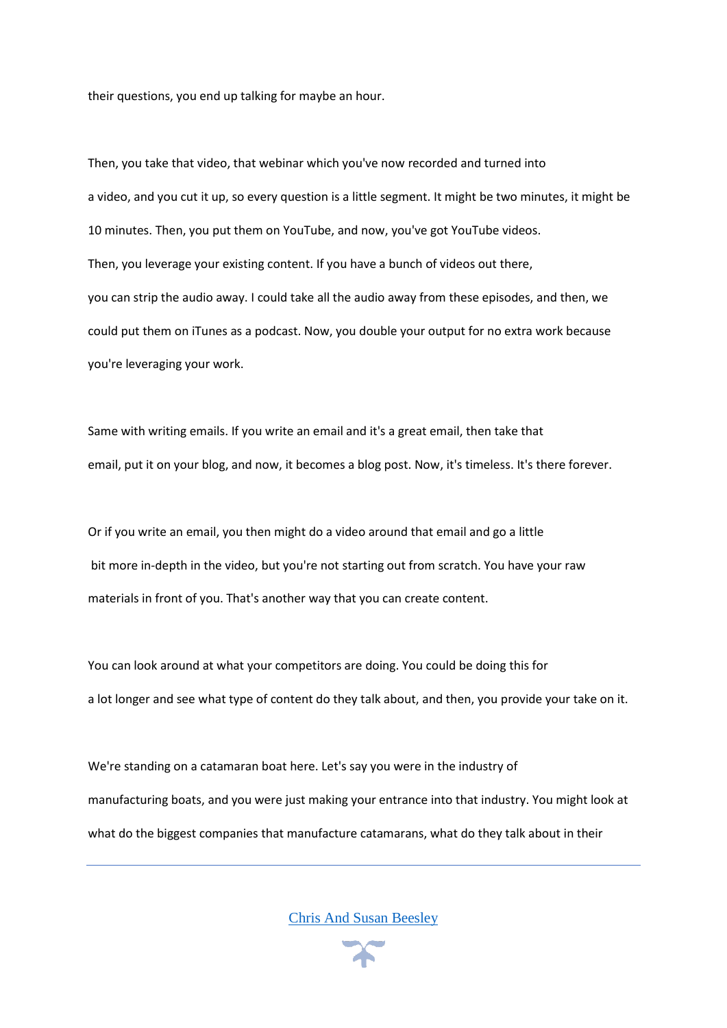their questions, you end up talking for maybe an hour.

Then, you take that video, that webinar which you've now recorded and turned into a video, and you cut it up, so every question is a little segment. It might be two minutes, it might be 10 minutes. Then, you put them on YouTube, and now, you've got YouTube videos. Then, you leverage your existing content. If you have a bunch of videos out there, you can strip the audio away. I could take all the audio away from these episodes, and then, we could put them on iTunes as a podcast. Now, you double your output for no extra work because you're leveraging your work.

Same with writing emails. If you write an email and it's a great email, then take that email, put it on your blog, and now, it becomes a blog post. Now, it's timeless. It's there forever.

Or if you write an email, you then might do a video around that email and go a little bit more in-depth in the video, but you're not starting out from scratch. You have your raw materials in front of you. That's another way that you can create content.

You can look around at what your competitors are doing. You could be doing this for a lot longer and see what type of content do they talk about, and then, you provide your take on it.

We're standing on a catamaran boat here. Let's say you were in the industry of manufacturing boats, and you were just making your entrance into that industry. You might look at what do the biggest companies that manufacture catamarans, what do they talk about in their